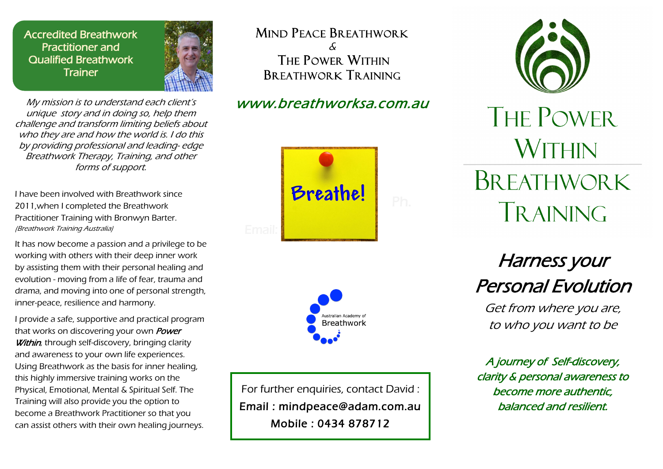Accredited Breathwork Practitioner and Qualified Breathwork **Trainer** 



My mission is to understand each client's unique story and in doing so, help them challenge and transform limiting beliefs about who they are and how the world is. I do this by providing professional and leading- edge Breathwork Therapy, Training, and other forms of support.

I have been involved with Breathwork since 2011,when I completed the Breathwork Practitioner Training with Bronwyn Barter. (Breathwork Training Australia)

It has now become a passion and a privilege to be working with others with their deep inner work by assisting them with their personal healing and evolution - moving from a life of fear, trauma and drama, and moving into one of personal strength, inner-peace, resilience and harmony.

I provide a safe, supportive and practical program that works on discovering your own **Power Within**, through self-discovery, bringing clarity and awareness to your own life experiences. Using Breathwork as the basis for inner healing, this highly immersive training works on the Physical, Emotional, Mental & Spiritual Self. The Training will also provide you the option to become a Breathwork Practitioner so that you can assist others with their own healing journeys. MIND PEACE BREATHWORK & THE POWER WITHIN  $BR$  fathwork  $TR$  aining

## www.breathworksa.com.au





For further enquiries, contact David : Email : mindpeace@adam.com.au Mobile : 0434 878712



THE POWER **WITHIN BREATHWORK** TRAINING

Harness your Personal Evolution

Get from where you are, to who you want to be

A journey of Self-discovery, clarity & personal awareness to become more authentic, balanced and resilient.